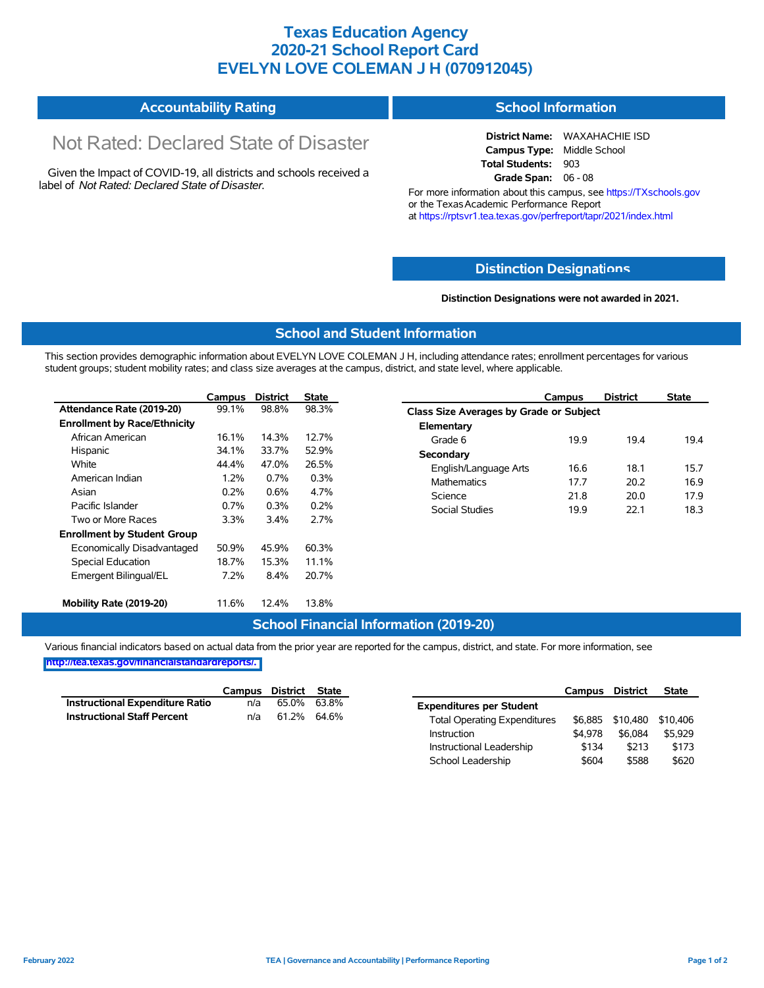## **Texas Education Agency 2020-21 School Report Card EVELYN LOVE COLEMAN J H (070912045)**

#### **Accountability Rating School Information**

# Not Rated: Declared State of Disaster

Given the Impact of COVID-19, all districts and schools received a label of *Not Rated: Declared State of Disaster.*

**District Name:** WAXAHACHIE ISD **Campus Type:** Middle School **Total Students:** 903 **Grade Span:** 06 - 08

For more information about this campus, see https://TXschools.gov or the Texas Academic Performance Report at https://rptsvr1.tea.texas.gov/perfreport/tapr/2021/index.html

#### **Distinction Designat[ions](https://TXschools.gov)**

**Distinction Designations were not awarded in 2021.**

School Leadership  $$604$  \$588 \$620

#### **School and Student Information**

This section provides demographic information about EVELYN LOVE COLEMAN J H, including attendance rates; enrollment percentages for various student groups; student mobility rates; and class size averages at the campus, district, and state level, where applicable.

|                                     | Campus | <b>District</b> | <b>State</b> | Campus                        | <b>District</b>                         | <b>State</b> |  |  |  |  |
|-------------------------------------|--------|-----------------|--------------|-------------------------------|-----------------------------------------|--------------|--|--|--|--|
| Attendance Rate (2019-20)           | 99.1%  | 98.8%           | 98.3%        |                               | Class Size Averages by Grade or Subject |              |  |  |  |  |
| <b>Enrollment by Race/Ethnicity</b> |        |                 |              | Elementary                    |                                         |              |  |  |  |  |
| African American                    | 16.1%  | 14.3%           | 12.7%        | 19.9<br>Grade 6               | 19.4                                    | 19.4         |  |  |  |  |
| Hispanic                            | 34.1%  | 33.7%           | 52.9%        | Secondary                     |                                         |              |  |  |  |  |
| White                               | 44.4%  | 47.0%           | 26.5%        | English/Language Arts<br>16.6 | 18.1                                    | 15.7         |  |  |  |  |
| American Indian                     | 1.2%   | 0.7%            | 0.3%         | <b>Mathematics</b><br>17.7    | 20.2                                    | 16.9         |  |  |  |  |
| Asian                               | 0.2%   | 0.6%            | 4.7%         | Science<br>21.8               | 20.0                                    | 17.9         |  |  |  |  |
| Pacific Islander                    | 0.7%   | 0.3%            | 0.2%         | Social Studies<br>19.9        | 22.1                                    | 18.3         |  |  |  |  |
| Two or More Races                   | 3.3%   | 3.4%            | 2.7%         |                               |                                         |              |  |  |  |  |
| <b>Enrollment by Student Group</b>  |        |                 |              |                               |                                         |              |  |  |  |  |
| Economically Disadvantaged          | 50.9%  | 45.9%           | 60.3%        |                               |                                         |              |  |  |  |  |
| Special Education                   | 18.7%  | 15.3%           | 11.1%        |                               |                                         |              |  |  |  |  |
| Emergent Bilingual/EL               | 7.2%   | 8.4%            | 20.7%        |                               |                                         |              |  |  |  |  |
| Mobility Rate (2019-20)             | 11.6%  | 12.4%           | 13.8%        |                               |                                         |              |  |  |  |  |

#### **School Financial Information (2019-20)**

Various financial indicators based on actual data from the prior year are reported for the campus, district, and state. For more information, see

**[http://tea.texas.gov/financialstandardreports/.](http://tea.texas.gov/financialstandardreports/)**

|                                        | Campus | District | State       |                                     | Campus  | <b>District</b>  | <b>State</b> |
|----------------------------------------|--------|----------|-------------|-------------------------------------|---------|------------------|--------------|
| <b>Instructional Expenditure Ratio</b> | n/a    | 65.0%    | 63.8%       | <b>Expenditures per Student</b>     |         |                  |              |
| <b>Instructional Staff Percent</b>     | n/a    |          | 61.2% 64.6% | <b>Total Operating Expenditures</b> |         | \$6.885 \$10.480 | \$10.406     |
|                                        |        |          |             | Instruction                         | \$4.978 | \$6,084          | \$5.929      |
|                                        |        |          |             | Instructional Leadership            | \$134   | \$213            | \$173        |